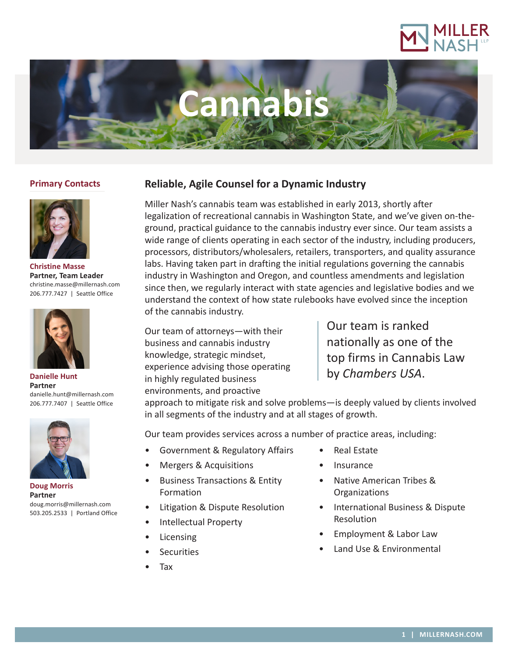



## **Primary Contacts**



**Christine Masse Partner, Team Leader** christine.masse@millernash.com 206.777.7427 | Seattle Office



**Danielle Hunt Partner** danielle.hunt@millernash.com 206.777.7407 | Seattle Office



**Doug Morris Partner** doug.morris@millernash.com 503.205.2533 | Portland Office

# **Reliable, Agile Counsel for a Dynamic Industry**

Miller Nash's cannabis team was established in early 2013, shortly after legalization of recreational cannabis in Washington State, and we've given on-theground, practical guidance to the cannabis industry ever since. Our team assists a wide range of clients operating in each sector of the industry, including producers, processors, distributors/wholesalers, retailers, transporters, and quality assurance labs. Having taken part in drafting the initial regulations governing the cannabis industry in Washington and Oregon, and countless amendments and legislation since then, we regularly interact with state agencies and legislative bodies and we understand the context of how state rulebooks have evolved since the inception of the cannabis industry.

Our team of attorneys—with their business and cannabis industry knowledge, strategic mindset, experience advising those operating in highly regulated business environments, and proactive

Our team is ranked nationally as one of the top firms in Cannabis Law by *Chambers USA*.

approach to mitigate risk and solve problems—is deeply valued by clients involved in all segments of the industry and at all stages of growth.

Our team provides services across a number of practice areas, including:

- Government & Regulatory Affairs
- Mergers & Acquisitions
- Business Transactions & Entity Formation
- Litigation & Dispute Resolution
- Intellectual Property
- **Licensing**
- **Securities**
- Tax
- Real Estate
- Insurance
- Native American Tribes & **Organizations**
- International Business & Dispute Resolution
- Employment & Labor Law
- Land Use & Environmental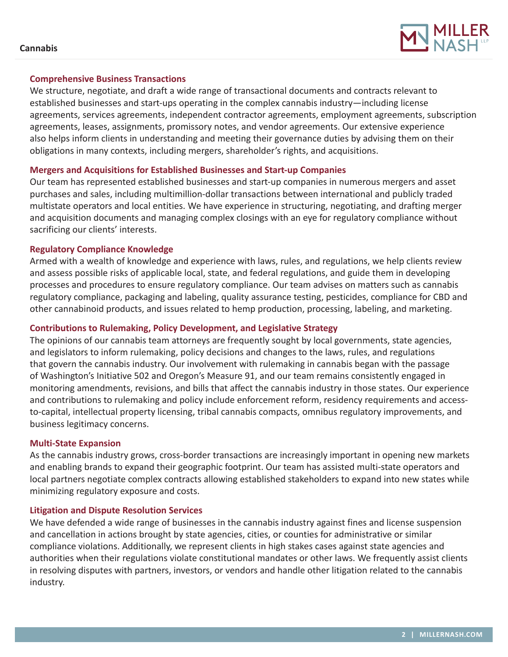

## **Comprehensive Business Transactions**

We structure, negotiate, and draft a wide range of transactional documents and contracts relevant to established businesses and start-ups operating in the complex cannabis industry—including license agreements, services agreements, independent contractor agreements, employment agreements, subscription agreements, leases, assignments, promissory notes, and vendor agreements. Our extensive experience also helps inform clients in understanding and meeting their governance duties by advising them on their obligations in many contexts, including mergers, shareholder's rights, and acquisitions.

### **Mergers and Acquisitions for Established Businesses and Start-up Companies**

Our team has represented established businesses and start-up companies in numerous mergers and asset purchases and sales, including multimillion-dollar transactions between international and publicly traded multistate operators and local entities. We have experience in structuring, negotiating, and drafting merger and acquisition documents and managing complex closings with an eye for regulatory compliance without sacrificing our clients' interests.

### **Regulatory Compliance Knowledge**

Armed with a wealth of knowledge and experience with laws, rules, and regulations, we help clients review and assess possible risks of applicable local, state, and federal regulations, and guide them in developing processes and procedures to ensure regulatory compliance. Our team advises on matters such as cannabis regulatory compliance, packaging and labeling, quality assurance testing, pesticides, compliance for CBD and other cannabinoid products, and issues related to hemp production, processing, labeling, and marketing.

### **Contributions to Rulemaking, Policy Development, and Legislative Strategy**

The opinions of our cannabis team attorneys are frequently sought by local governments, state agencies, and legislators to inform rulemaking, policy decisions and changes to the laws, rules, and regulations that govern the cannabis industry. Our involvement with rulemaking in cannabis began with the passage of Washington's Initiative 502 and Oregon's Measure 91, and our team remains consistently engaged in monitoring amendments, revisions, and bills that affect the cannabis industry in those states. Our experience and contributions to rulemaking and policy include enforcement reform, residency requirements and accessto-capital, intellectual property licensing, tribal cannabis compacts, omnibus regulatory improvements, and business legitimacy concerns.

#### **Multi-State Expansion**

As the cannabis industry grows, cross-border transactions are increasingly important in opening new markets and enabling brands to expand their geographic footprint. Our team has assisted multi-state operators and local partners negotiate complex contracts allowing established stakeholders to expand into new states while minimizing regulatory exposure and costs.

# **Litigation and Dispute Resolution Services**

We have defended a wide range of businesses in the cannabis industry against fines and license suspension and cancellation in actions brought by state agencies, cities, or counties for administrative or similar compliance violations. Additionally, we represent clients in high stakes cases against state agencies and authorities when their regulations violate constitutional mandates or other laws. We frequently assist clients in resolving disputes with partners, investors, or vendors and handle other litigation related to the cannabis industry.